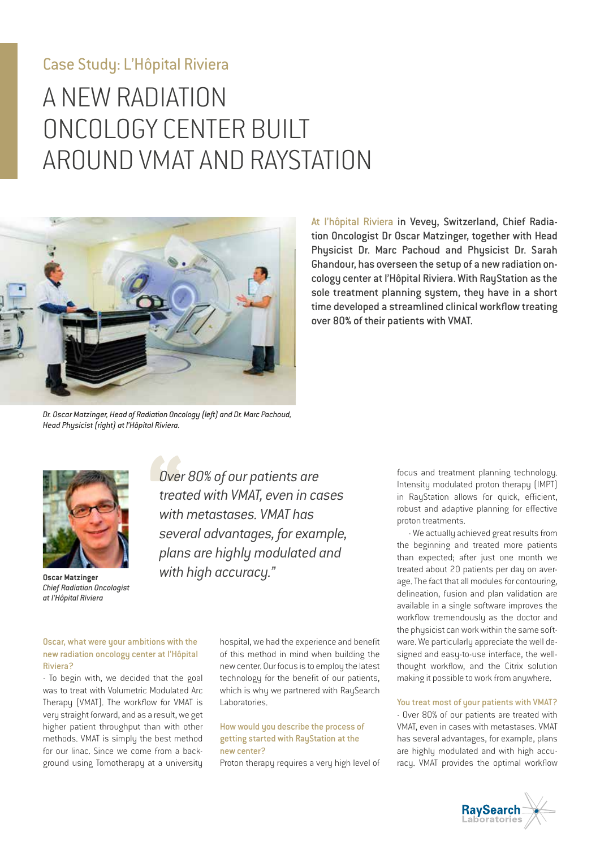# Case Study: L'Hôpital Riviera

# A NEW RADIATION ONCOLOGY CENTER BUILT AROUND VMAT AND RAYSTATION



At l'hôpital Riviera in Vevey, Switzerland, Chief Radiation Oncologist Dr Oscar Matzinger, together with Head Physicist Dr. Marc Pachoud and Physicist Dr. Sarah Ghandour, has overseen the setup of a new radiation oncology center at l'Hôpital Riviera. With RayStation as the sole treatment planning system, they have in a short time developed a streamlined clinical workflow treating over 80% of their patients with VMAT.

*Dr. Oscar Matzinger, Head of Radiation Oncology (left) and Dr. Marc Pachoud, Head Physicist (right) at l'Hôpital Riviera.*



*Chief Radiation Oncologist at l'Hôpital Riviera* 

*Over 80% of our patients are treated with VMAT, even in cases with metastases. VMAT has several advantages, for example, plans are highly modulated and*  **With high accuracy." Observe Matzinger** 

Oscar, what were your ambitions with the new radiation oncology center at l'Hôpital Riviera?

- To begin with, we decided that the goal was to treat with Volumetric Modulated Arc Therapy (VMAT). The workflow for VMAT is very straight forward, and as a result, we get higher patient throughput than with other methods. VMAT is simply the best method for our linac. Since we come from a background using Tomotherapy at a university

hospital, we had the experience and benefit of this method in mind when building the new center. Our focus is to employ the latest technology for the benefit of our patients, which is why we partnered with RauSearch Laboratories

## How would you describe the process of getting started with RayStation at the new center?

Proton therapy requires a very high level of

focus and treatment planning technology. Intensity modulated proton therapy (IMPT) in RayStation allows for quick, efficient, robust and adaptive planning for effective proton treatments.

- We actually achieved great results from the beginning and treated more patients than expected; after just one month we treated about 20 patients per day on average. The fact that all modules for contouring, delineation, fusion and plan validation are available in a single software improves the workflow tremendously as the doctor and the physicist can work within the same software. We particularly appreciate the well designed and easy-to-use interface, the wellthought workflow, and the Citrix solution making it possible to work from anywhere.

You treat most of your patients with VMAT?

- Over 80% of our patients are treated with VMAT, even in cases with metastases. VMAT has several advantages, for example, plans are highly modulated and with high accuracy. VMAT provides the optimal workflow